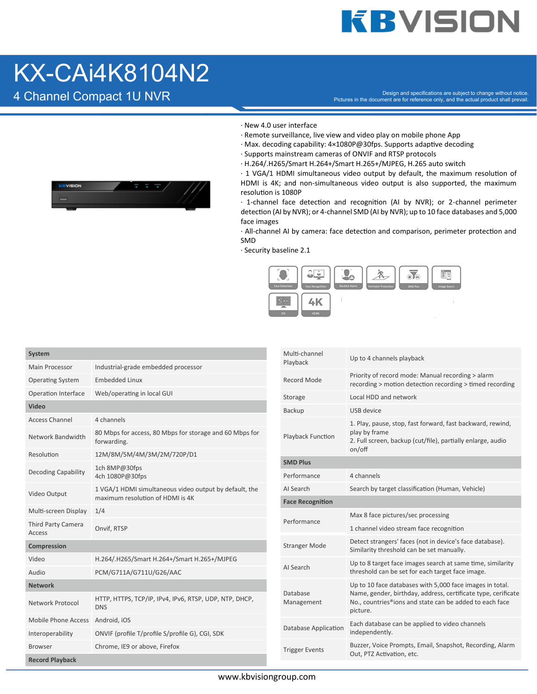## **KBVISION**

#### KX-CAi4K8104N2

 $\bf 4$  Channel Compact 1U NVR and the compact to change without notice. The document are for reference only, and the actual product shall prevail.



- · New 4.0 user interface
- · Remote surveillance, live view and video play on mobile phone App
- $\cdot$  Max. decoding capability: 4×1080P@30fps. Supports adaptive decoding
- · Supports mainstream cameras of ONVIF and RTSP protocols
- · H.264/.H265/Smart H.264+/Smart H.265+/MJPEG, H.265 auto switch

 $\cdot$  1 VGA/1 HDMI simultaneous video output by default, the maximum resolution of HDMI is 4K; and non-simultaneous video output is also supported, the maximum resolution is 1080P

 $\cdot$  1-channel face detection and recognition (AI by NVR); or 2-channel perimeter detection (AI by NVR); or 4-channel SMD (AI by NVR); up to 10 face databases and 5,000 face images

· All-channel AI by camera: face detection and comparison, perimeter protection and SMD

· Security baseline 2.1



| System                                              |                                                                                            | Multi-channel               | Up to 4 channels playback                                                                                                                         |  |
|-----------------------------------------------------|--------------------------------------------------------------------------------------------|-----------------------------|---------------------------------------------------------------------------------------------------------------------------------------------------|--|
| <b>Main Processor</b>                               | Industrial-grade embedded processor                                                        | Playback                    |                                                                                                                                                   |  |
| <b>Operating System</b>                             | <b>Embedded Linux</b>                                                                      | Record Mode                 | Priority of record mode: Manual recording > alarm<br>recording > motion detection recording > timed recording                                     |  |
| Operation Interface                                 | Web/operating in local GUI                                                                 | Storage                     | Local HDD and network                                                                                                                             |  |
| Video                                               |                                                                                            | <b>Backup</b>               | USB device                                                                                                                                        |  |
| <b>Access Channel</b>                               | 4 channels                                                                                 |                             | 1. Play, pause, stop, fast forward, fast backward, rewind,                                                                                        |  |
| Network Bandwidth                                   | 80 Mbps for access, 80 Mbps for storage and 60 Mbps for<br>forwarding.                     | Playback Function           | play by frame<br>2. Full screen, backup (cut/file), partially enlarge, audio<br>on/off                                                            |  |
| Resolution                                          | 12M/8M/5M/4M/3M/2M/720P/D1                                                                 |                             |                                                                                                                                                   |  |
| <b>Decoding Capability</b>                          | 1ch 8MP@30fps<br>4ch 1080P@30fps                                                           |                             | <b>SMD Plus</b>                                                                                                                                   |  |
|                                                     |                                                                                            | Performance                 | 4 channels                                                                                                                                        |  |
| Video Output                                        | 1 VGA/1 HDMI simultaneous video output by default, the<br>maximum resolution of HDMI is 4K | AI Search                   | Search by target classification (Human, Vehicle)                                                                                                  |  |
|                                                     |                                                                                            | <b>Face Recognition</b>     |                                                                                                                                                   |  |
| Multi-screen Display                                | 1/4                                                                                        | Performance                 | Max 8 face pictures/sec processing                                                                                                                |  |
| Third Party Camera<br><b>Access</b>                 | Onvif, RTSP                                                                                |                             | 1 channel video stream face recognition                                                                                                           |  |
| Compression                                         |                                                                                            | <b>Stranger Mode</b>        | Detect strangers' faces (not in device's face database).<br>Similarity threshold can be set manually.                                             |  |
| Video                                               | H.264/.H265/Smart H.264+/Smart H.265+/MJPEG                                                |                             | Up to 8 target face images search at same time, similarity<br>threshold can be set for each target face image.                                    |  |
| Audio                                               | PCM/G711A/G711U/G26/AAC                                                                    | AI Search                   |                                                                                                                                                   |  |
| <b>Network</b>                                      |                                                                                            |                             | Up to 10 face databases with 5,000 face images in total.                                                                                          |  |
| <b>Network Protocol</b>                             | HTTP, HTTPS, TCP/IP, IPv4, IPv6, RTSP, UDP, NTP, DHCP,<br><b>DNS</b>                       | Database<br>Management      | Name, gender, birthday, address, certificate type, cerificate<br>No., countries <sup>®</sup> ions and state can be added to each face<br>picture. |  |
| Mobile Phone Access                                 | Android, iOS                                                                               |                             | Each database can be applied to video channels<br>independently.                                                                                  |  |
| Interoperability                                    | ONVIF (profile T/profile S/profile G), CGI, SDK                                            | <b>Database Application</b> |                                                                                                                                                   |  |
| <b>Browser</b>                                      | Chrome, IE9 or above, Firefox                                                              | <b>Trigger Events</b>       | Buzzer, Voice Prompts, Email, Snapshot, Recording, Alarm                                                                                          |  |
| Out, PTZ Activation, etc.<br><b>Record Playback</b> |                                                                                            |                             |                                                                                                                                                   |  |